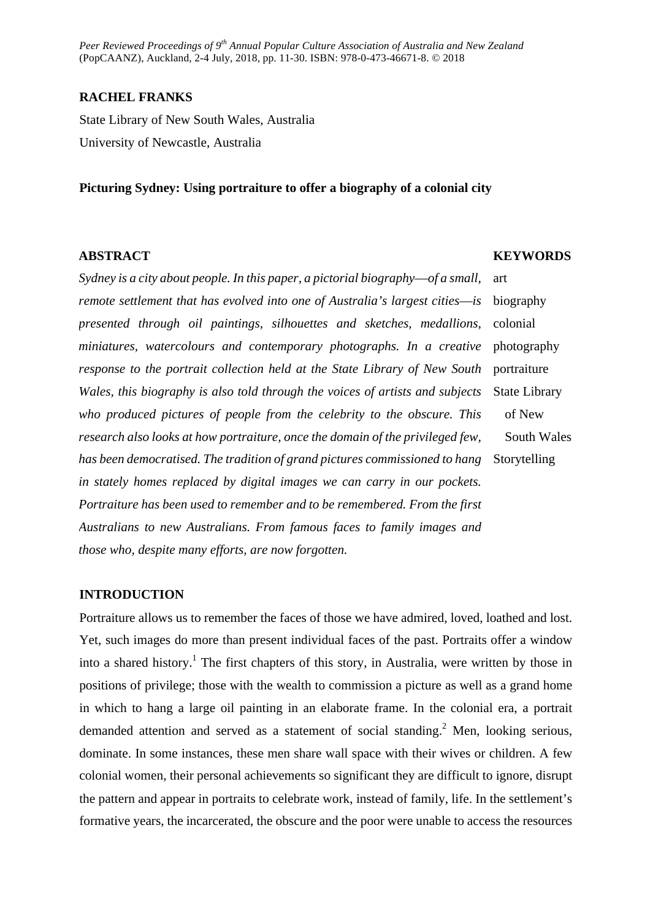*Peer Reviewed Proceedings of 9th Annual Popular Culture Association of Australia and New Zealand* (PopCAANZ), Auckland, 2-4 July, 2018, pp. 11-30. ISBN: 978-0-473-46671-8. © 2018

## **RACHEL FRANKS**

State Library of New South Wales, Australia University of Newcastle, Australia

#### **Picturing Sydney: Using portraiture to offer a biography of a colonial city**

#### **ABSTRACT**

*Sydney is a city about people. In this paper, a pictorial biography—of a small, remote settlement that has evolved into one of Australia's largest cities—is presented through oil paintings, silhouettes and sketches, medallions, miniatures, watercolours and contemporary photographs. In a creative response to the portrait collection held at the State Library of New South Wales, this biography is also told through the voices of artists and subjects who produced pictures of people from the celebrity to the obscure. This research also looks at how portraiture, once the domain of the privileged few, has been democratised. The tradition of grand pictures commissioned to hang in stately homes replaced by digital images we can carry in our pockets. Portraiture has been used to remember and to be remembered. From the first Australians to new Australians. From famous faces to family images and those who, despite many efforts, are now forgotten.*  art biography

**KEYWORDS**

colonial photography portraiture State Library of New South Wales Storytelling

#### **INTRODUCTION**

Portraiture allows us to remember the faces of those we have admired, loved, loathed and lost. Yet, such images do more than present individual faces of the past. Portraits offer a window into a shared history.<sup>1</sup> The first chapters of this story, in Australia, were written by those in positions of privilege; those with the wealth to commission a picture as well as a grand home in which to hang a large oil painting in an elaborate frame. In the colonial era, a portrait demanded attention and served as a statement of social standing.<sup>2</sup> Men, looking serious, dominate. In some instances, these men share wall space with their wives or children. A few colonial women, their personal achievements so significant they are difficult to ignore, disrupt the pattern and appear in portraits to celebrate work, instead of family, life. In the settlement's formative years, the incarcerated, the obscure and the poor were unable to access the resources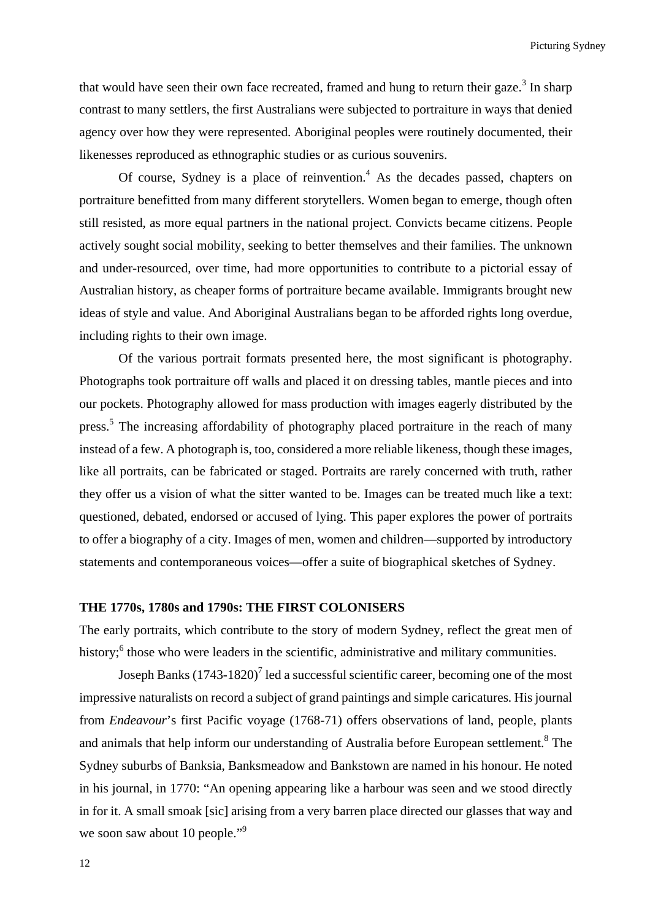that would have seen their own face recreated, framed and hung to return their gaze.<sup>3</sup> In sharp contrast to many settlers, the first Australians were subjected to portraiture in ways that denied agency over how they were represented. Aboriginal peoples were routinely documented, their likenesses reproduced as ethnographic studies or as curious souvenirs.

Of course, Sydney is a place of reinvention.<sup>4</sup> As the decades passed, chapters on portraiture benefitted from many different storytellers. Women began to emerge, though often still resisted, as more equal partners in the national project. Convicts became citizens. People actively sought social mobility, seeking to better themselves and their families. The unknown and under-resourced, over time, had more opportunities to contribute to a pictorial essay of Australian history, as cheaper forms of portraiture became available. Immigrants brought new ideas of style and value. And Aboriginal Australians began to be afforded rights long overdue, including rights to their own image.

Of the various portrait formats presented here, the most significant is photography. Photographs took portraiture off walls and placed it on dressing tables, mantle pieces and into our pockets. Photography allowed for mass production with images eagerly distributed by the press.<sup>5</sup> The increasing affordability of photography placed portraiture in the reach of many instead of a few. A photograph is, too, considered a more reliable likeness, though these images, like all portraits, can be fabricated or staged. Portraits are rarely concerned with truth, rather they offer us a vision of what the sitter wanted to be. Images can be treated much like a text: questioned, debated, endorsed or accused of lying. This paper explores the power of portraits to offer a biography of a city. Images of men, women and children—supported by introductory statements and contemporaneous voices—offer a suite of biographical sketches of Sydney.

#### **THE 1770s, 1780s and 1790s: THE FIRST COLONISERS**

The early portraits, which contribute to the story of modern Sydney, reflect the great men of history;<sup>6</sup> those who were leaders in the scientific, administrative and military communities.

Joseph Banks  $(1743-1820)^7$  led a successful scientific career, becoming one of the most impressive naturalists on record a subject of grand paintings and simple caricatures. His journal from *Endeavour*'s first Pacific voyage (1768-71) offers observations of land, people, plants and animals that help inform our understanding of Australia before European settlement.<sup>8</sup> The Sydney suburbs of Banksia, Banksmeadow and Bankstown are named in his honour. He noted in his journal, in 1770: "An opening appearing like a harbour was seen and we stood directly in for it. A small smoak [sic] arising from a very barren place directed our glasses that way and we soon saw about 10 people."<sup>9</sup>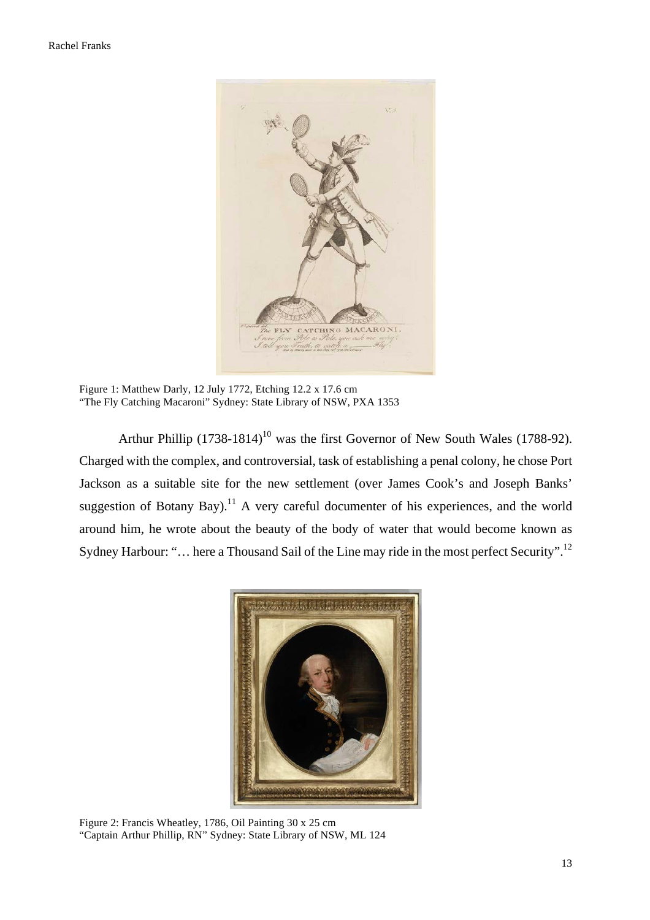

Figure 1: Matthew Darly, 12 July 1772, Etching 12.2 x 17.6 cm "The Fly Catching Macaroni" Sydney: State Library of NSW, PXA 1353

Arthur Phillip  $(1738-1814)^{10}$  was the first Governor of New South Wales (1788-92). Charged with the complex, and controversial, task of establishing a penal colony, he chose Port Jackson as a suitable site for the new settlement (over James Cook's and Joseph Banks' suggestion of Botany Bay).<sup>11</sup> A very careful documenter of his experiences, and the world around him, he wrote about the beauty of the body of water that would become known as Sydney Harbour: "... here a Thousand Sail of the Line may ride in the most perfect Security".<sup>12</sup>



Figure 2: Francis Wheatley, 1786, Oil Painting 30 x 25 cm "Captain Arthur Phillip, RN" Sydney: State Library of NSW, ML 124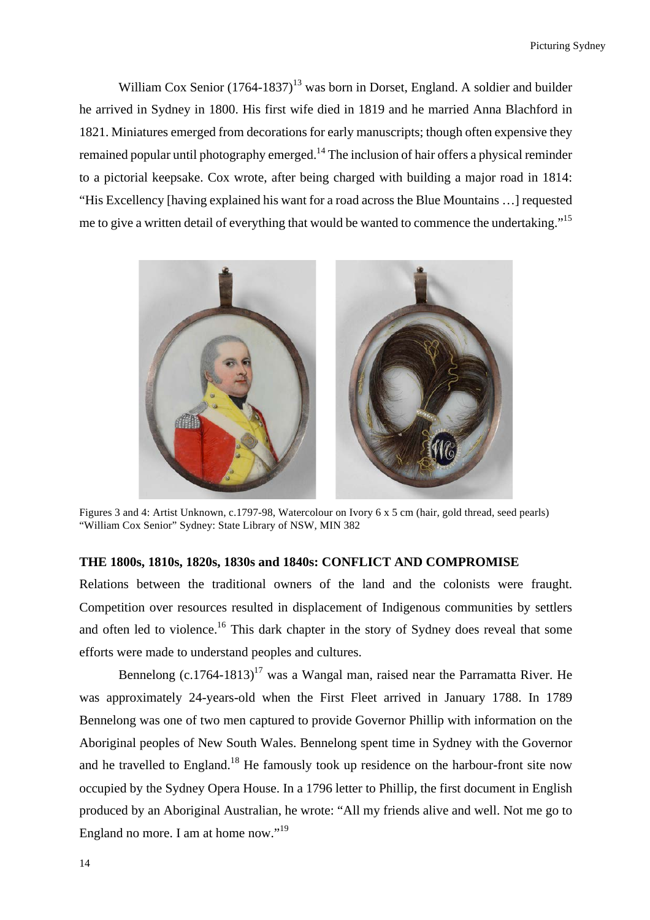William Cox Senior  $(1764-1837)^{13}$  was born in Dorset, England. A soldier and builder he arrived in Sydney in 1800. His first wife died in 1819 and he married Anna Blachford in 1821. Miniatures emerged from decorations for early manuscripts; though often expensive they remained popular until photography emerged.<sup>14</sup> The inclusion of hair offers a physical reminder to a pictorial keepsake. Cox wrote, after being charged with building a major road in 1814: "His Excellency [having explained his want for a road across the Blue Mountains …] requested me to give a written detail of everything that would be wanted to commence the undertaking."<sup>15</sup>



Figures 3 and 4: Artist Unknown, c.1797-98, Watercolour on Ivory 6 x 5 cm (hair, gold thread, seed pearls) "William Cox Senior" Sydney: State Library of NSW, MIN 382

## **THE 1800s, 1810s, 1820s, 1830s and 1840s: CONFLICT AND COMPROMISE**

Relations between the traditional owners of the land and the colonists were fraught. Competition over resources resulted in displacement of Indigenous communities by settlers and often led to violence.<sup>16</sup> This dark chapter in the story of Sydney does reveal that some efforts were made to understand peoples and cultures.

Bennelong  $(c.1764-1813)^{17}$  was a Wangal man, raised near the Parramatta River. He was approximately 24-years-old when the First Fleet arrived in January 1788. In 1789 Bennelong was one of two men captured to provide Governor Phillip with information on the Aboriginal peoples of New South Wales. Bennelong spent time in Sydney with the Governor and he travelled to England.<sup>18</sup> He famously took up residence on the harbour-front site now occupied by the Sydney Opera House. In a 1796 letter to Phillip, the first document in English produced by an Aboriginal Australian, he wrote: "All my friends alive and well. Not me go to England no more. I am at home now."<sup>19</sup>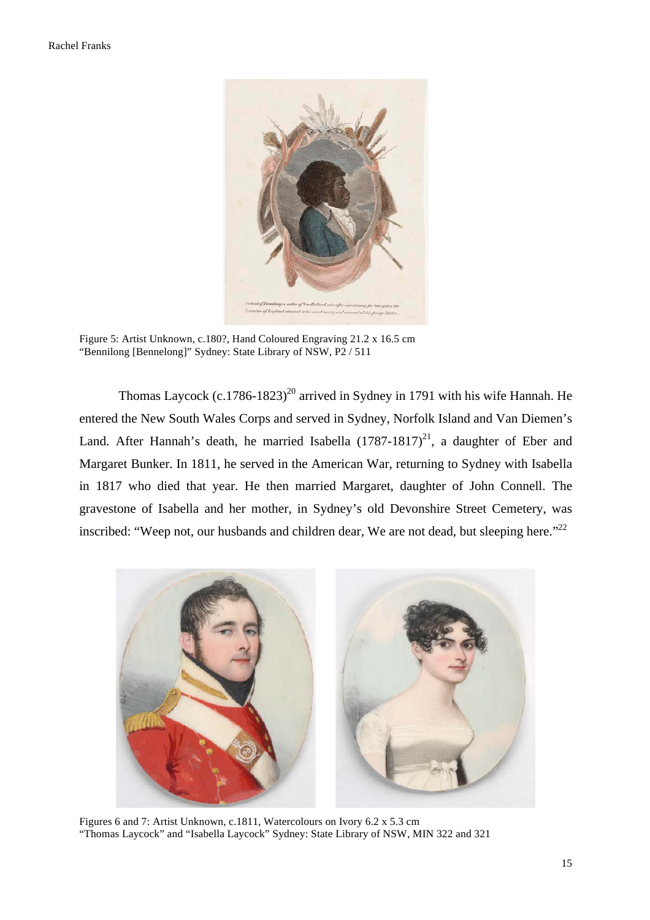

Figure 5: Artist Unknown, c.180?, Hand Coloured Engraving 21.2 x 16.5 cm "Bennilong [Bennelong]" Sydney: State Library of NSW, P2 / 511

Thomas Laycock (c.1786-1823)<sup>20</sup> arrived in Sydney in 1791 with his wife Hannah. He entered the New South Wales Corps and served in Sydney, Norfolk Island and Van Diemen's Land. After Hannah's death, he married Isabella  $(1787-1817)^{21}$ , a daughter of Eber and Margaret Bunker. In 1811, he served in the American War, returning to Sydney with Isabella in 1817 who died that year. He then married Margaret, daughter of John Connell. The gravestone of Isabella and her mother, in Sydney's old Devonshire Street Cemetery, was inscribed: "Weep not, our husbands and children dear, We are not dead, but sleeping here."<sup>22</sup>



Figures 6 and 7: Artist Unknown, c.1811, Watercolours on Ivory 6.2 x 5.3 cm "Thomas Laycock" and "Isabella Laycock" Sydney: State Library of NSW, MIN 322 and 321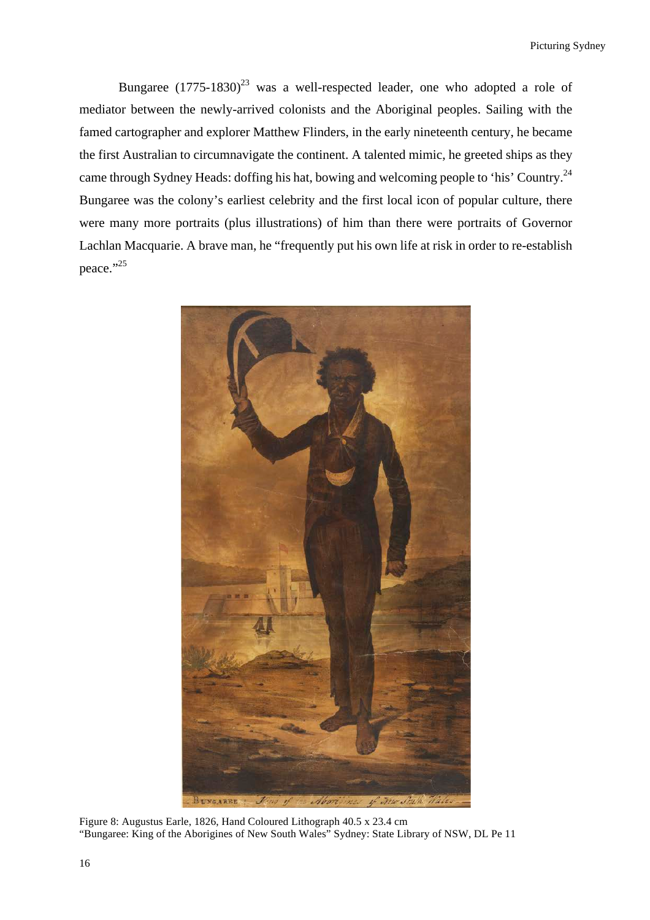Bungaree  $(1775-1830)^{23}$  was a well-respected leader, one who adopted a role of mediator between the newly-arrived colonists and the Aboriginal peoples. Sailing with the famed cartographer and explorer Matthew Flinders, in the early nineteenth century, he became the first Australian to circumnavigate the continent. A talented mimic, he greeted ships as they came through Sydney Heads: doffing his hat, bowing and welcoming people to 'his' Country.24 Bungaree was the colony's earliest celebrity and the first local icon of popular culture, there were many more portraits (plus illustrations) of him than there were portraits of Governor Lachlan Macquarie. A brave man, he "frequently put his own life at risk in order to re-establish peace."25



Figure 8: Augustus Earle, 1826, Hand Coloured Lithograph 40.5 x 23.4 cm "Bungaree: King of the Aborigines of New South Wales" Sydney: State Library of NSW, DL Pe 11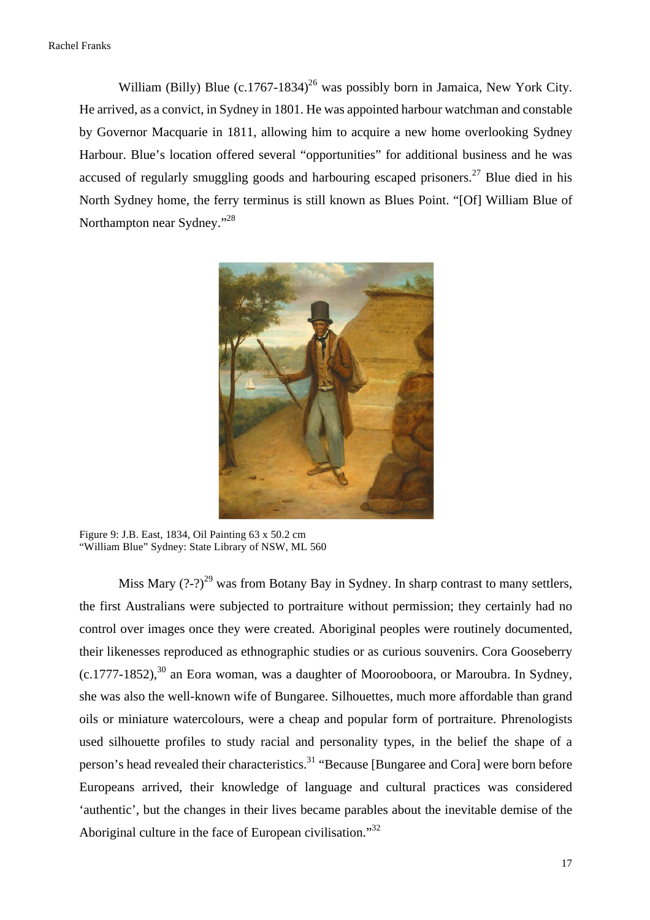William (Billy) Blue  $(c.1767-1834)^{26}$  was possibly born in Jamaica, New York City. He arrived, as a convict, in Sydney in 1801. He was appointed harbour watchman and constable by Governor Macquarie in 1811, allowing him to acquire a new home overlooking Sydney Harbour. Blue's location offered several "opportunities" for additional business and he was accused of regularly smuggling goods and harbouring escaped prisoners.<sup>27</sup> Blue died in his North Sydney home, the ferry terminus is still known as Blues Point. "[Of] William Blue of Northampton near Sydney."<sup>28</sup>



Figure 9: J.B. East, 1834, Oil Painting 63 x 50.2 cm "William Blue" Sydney: State Library of NSW, ML 560

Miss Mary  $(?)^{29}$  was from Botany Bay in Sydney. In sharp contrast to many settlers, the first Australians were subjected to portraiture without permission; they certainly had no control over images once they were created. Aboriginal peoples were routinely documented, their likenesses reproduced as ethnographic studies or as curious souvenirs. Cora Gooseberry  $(c.1777-1852)$ ,  $^{30}$  an Eora woman, was a daughter of Moorooboora, or Maroubra. In Sydney, she was also the well-known wife of Bungaree. Silhouettes, much more affordable than grand oils or miniature watercolours, were a cheap and popular form of portraiture. Phrenologists used silhouette profiles to study racial and personality types, in the belief the shape of a person's head revealed their characteristics.<sup>31</sup> "Because [Bungaree and Cora] were born before Europeans arrived, their knowledge of language and cultural practices was considered 'authentic', but the changes in their lives became parables about the inevitable demise of the Aboriginal culture in the face of European civilisation."<sup>32</sup>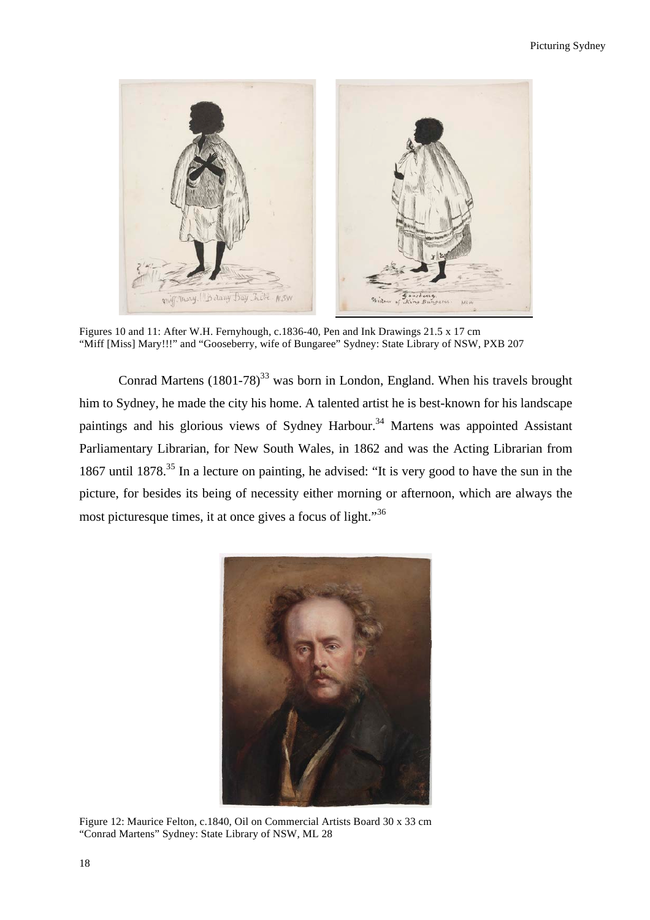

Figures 10 and 11: After W.H. Fernyhough, c.1836-40, Pen and Ink Drawings 21.5 x 17 cm "Miff [Miss] Mary!!!" and "Gooseberry, wife of Bungaree" Sydney: State Library of NSW, PXB 207

Conrad Martens  $(1801-78)^{33}$  was born in London, England. When his travels brought him to Sydney, he made the city his home. A talented artist he is best-known for his landscape paintings and his glorious views of Sydney Harbour.<sup>34</sup> Martens was appointed Assistant Parliamentary Librarian, for New South Wales, in 1862 and was the Acting Librarian from 1867 until 1878.<sup>35</sup> In a lecture on painting, he advised: "It is very good to have the sun in the picture, for besides its being of necessity either morning or afternoon, which are always the most picturesque times, it at once gives a focus of light."<sup>36</sup>



Figure 12: Maurice Felton, c.1840, Oil on Commercial Artists Board 30 x 33 cm "Conrad Martens" Sydney: State Library of NSW, ML 28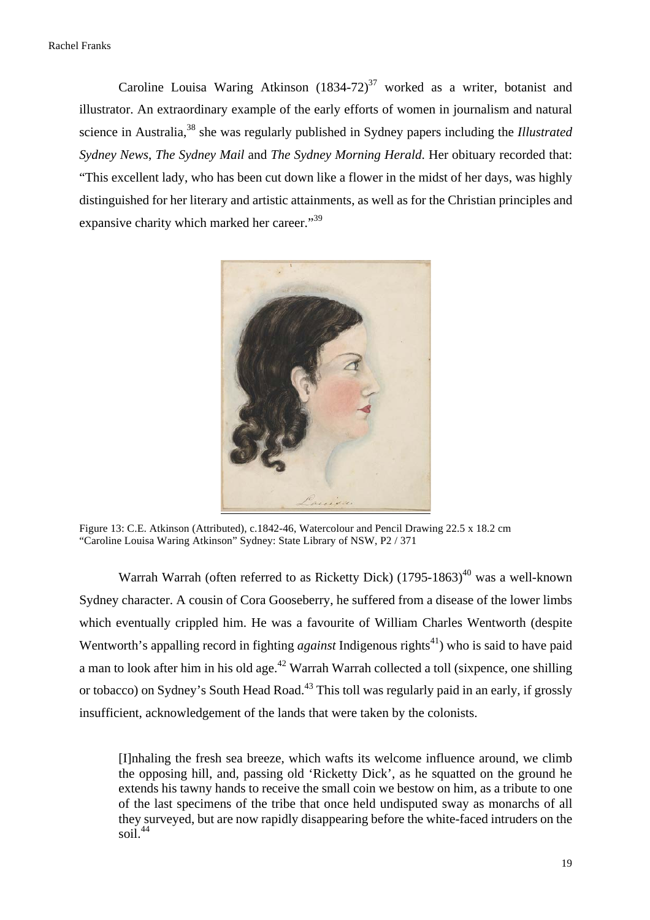Caroline Louisa Waring Atkinson  $(1834-72)^{37}$  worked as a writer, botanist and illustrator. An extraordinary example of the early efforts of women in journalism and natural science in Australia,<sup>38</sup> she was regularly published in Sydney papers including the *Illustrated Sydney News*, *The Sydney Mail* and *The Sydney Morning Herald*. Her obituary recorded that: "This excellent lady, who has been cut down like a flower in the midst of her days, was highly distinguished for her literary and artistic attainments, as well as for the Christian principles and expansive charity which marked her career."<sup>39</sup>



Figure 13: C.E. Atkinson (Attributed), c.1842-46, Watercolour and Pencil Drawing 22.5 x 18.2 cm "Caroline Louisa Waring Atkinson" Sydney: State Library of NSW, P2 / 371

Warrah Warrah (often referred to as Ricketty Dick)  $(1795-1863)^{40}$  was a well-known Sydney character. A cousin of Cora Gooseberry, he suffered from a disease of the lower limbs which eventually crippled him. He was a favourite of William Charles Wentworth (despite Wentworth's appalling record in fighting *against* Indigenous rights<sup>41</sup>) who is said to have paid a man to look after him in his old age.<sup>42</sup> Warrah Warrah collected a toll (sixpence, one shilling or tobacco) on Sydney's South Head Road.<sup>43</sup> This toll was regularly paid in an early, if grossly insufficient, acknowledgement of the lands that were taken by the colonists.

[I]nhaling the fresh sea breeze, which wafts its welcome influence around, we climb the opposing hill, and, passing old 'Ricketty Dick', as he squatted on the ground he extends his tawny hands to receive the small coin we bestow on him, as a tribute to one of the last specimens of the tribe that once held undisputed sway as monarchs of all they surveyed, but are now rapidly disappearing before the white-faced intruders on the soil. $44$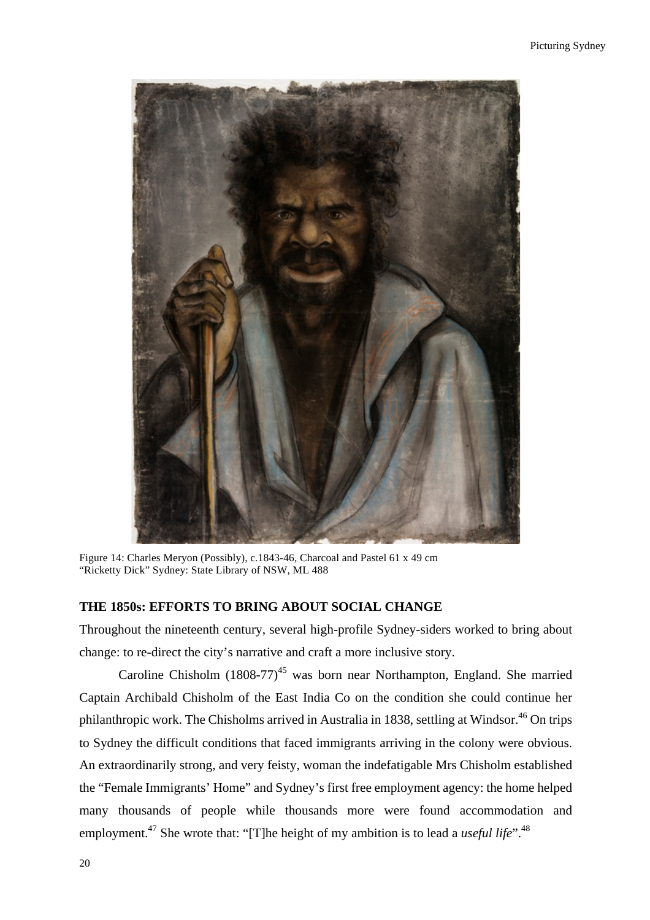

Figure 14: Charles Meryon (Possibly), c.1843-46, Charcoal and Pastel 61 x 49 cm "Ricketty Dick" Sydney: State Library of NSW, ML 488

### **THE 1850s: EFFORTS TO BRING ABOUT SOCIAL CHANGE**

Throughout the nineteenth century, several high-profile Sydney-siders worked to bring about change: to re-direct the city's narrative and craft a more inclusive story.

Caroline Chisholm  $(1808-77)^{45}$  was born near Northampton, England. She married Captain Archibald Chisholm of the East India Co on the condition she could continue her philanthropic work. The Chisholms arrived in Australia in 1838, settling at Windsor.<sup>46</sup> On trips to Sydney the difficult conditions that faced immigrants arriving in the colony were obvious. An extraordinarily strong, and very feisty, woman the indefatigable Mrs Chisholm established the "Female Immigrants' Home" and Sydney's first free employment agency: the home helped many thousands of people while thousands more were found accommodation and employment.<sup>47</sup> She wrote that: "[T]he height of my ambition is to lead a *useful life*".<sup>48</sup>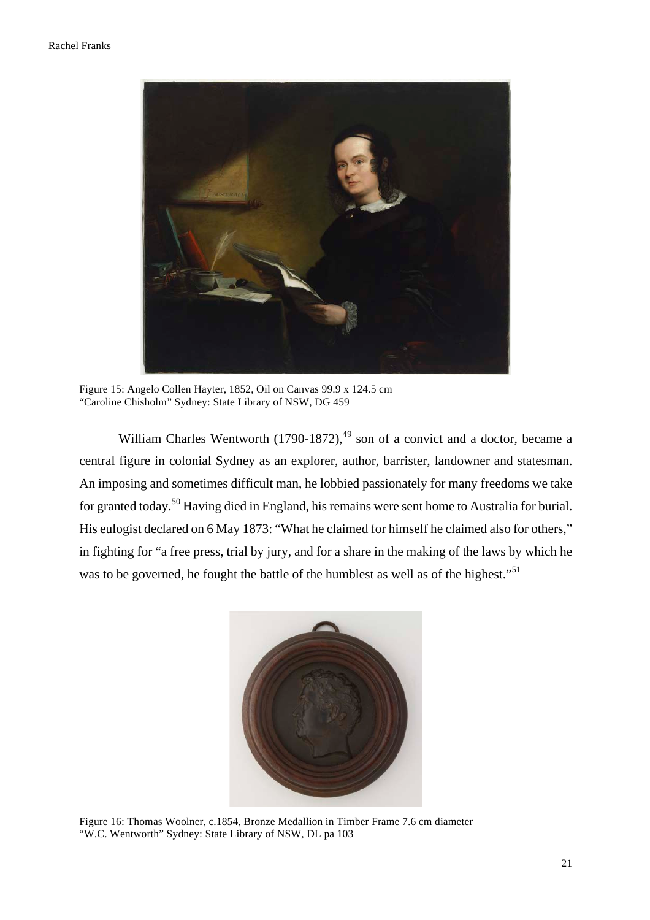

Figure 15: Angelo Collen Hayter, 1852, Oil on Canvas 99.9 x 124.5 cm "Caroline Chisholm" Sydney: State Library of NSW, DG 459

William Charles Wentworth  $(1790-1872)$ ,<sup>49</sup> son of a convict and a doctor, became a central figure in colonial Sydney as an explorer, author, barrister, landowner and statesman. An imposing and sometimes difficult man, he lobbied passionately for many freedoms we take for granted today.<sup>50</sup> Having died in England, his remains were sent home to Australia for burial. His eulogist declared on 6 May 1873: "What he claimed for himself he claimed also for others," in fighting for "a free press, trial by jury, and for a share in the making of the laws by which he was to be governed, he fought the battle of the humblest as well as of the highest."<sup>51</sup>



Figure 16: Thomas Woolner, c.1854, Bronze Medallion in Timber Frame 7.6 cm diameter "W.C. Wentworth" Sydney: State Library of NSW, DL pa 103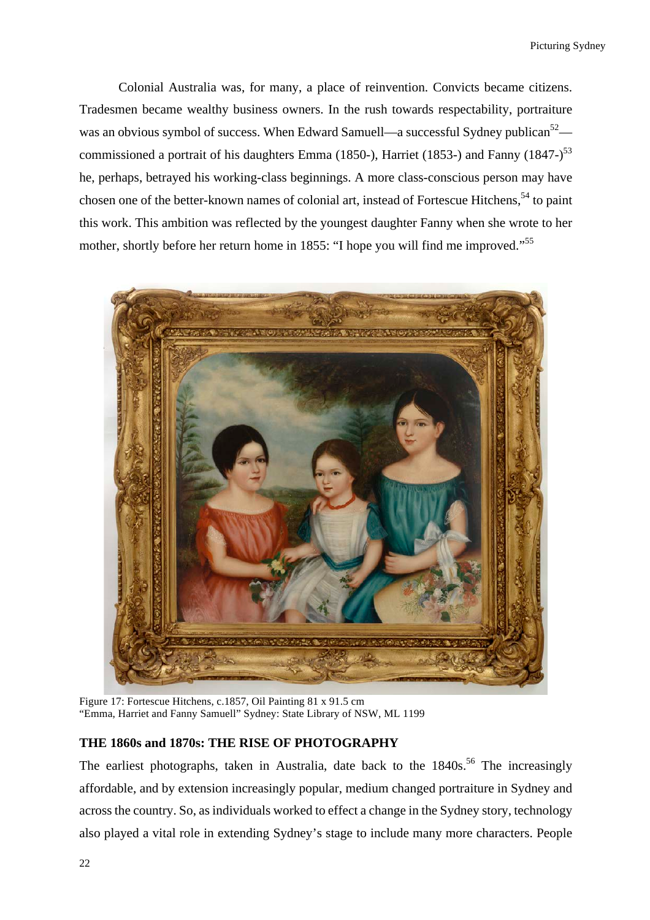Colonial Australia was, for many, a place of reinvention. Convicts became citizens. Tradesmen became wealthy business owners. In the rush towards respectability, portraiture was an obvious symbol of success. When Edward Samuell—a successful Sydney publican<sup>52</sup> commissioned a portrait of his daughters Emma (1850-), Harriet (1853-) and Fanny (1847-)<sup>53</sup> he, perhaps, betrayed his working-class beginnings. A more class-conscious person may have chosen one of the better-known names of colonial art, instead of Fortescue Hitchens,<sup>54</sup> to paint this work. This ambition was reflected by the youngest daughter Fanny when she wrote to her mother, shortly before her return home in 1855: "I hope you will find me improved."<sup>55</sup>



Figure 17: Fortescue Hitchens, c.1857, Oil Painting 81 x 91.5 cm "Emma, Harriet and Fanny Samuell" Sydney: State Library of NSW, ML 1199

## **THE 1860s and 1870s: THE RISE OF PHOTOGRAPHY**

The earliest photographs, taken in Australia, date back to the  $1840s$ <sup>56</sup>. The increasingly affordable, and by extension increasingly popular, medium changed portraiture in Sydney and across the country. So, as individuals worked to effect a change in the Sydney story, technology also played a vital role in extending Sydney's stage to include many more characters. People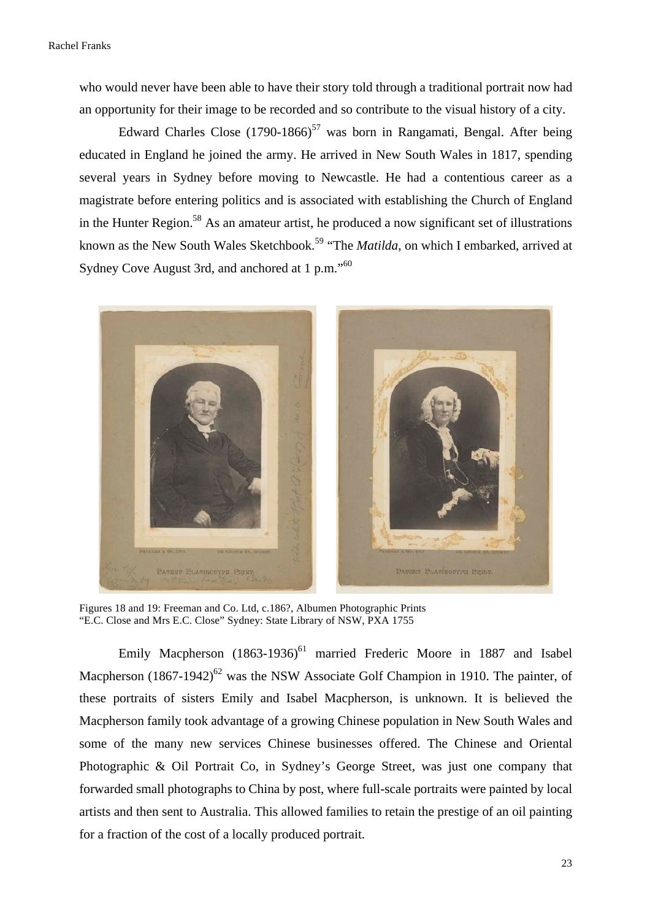who would never have been able to have their story told through a traditional portrait now had an opportunity for their image to be recorded and so contribute to the visual history of a city.

Edward Charles Close  $(1790-1866)^{57}$  was born in Rangamati, Bengal. After being educated in England he joined the army. He arrived in New South Wales in 1817, spending several years in Sydney before moving to Newcastle. He had a contentious career as a magistrate before entering politics and is associated with establishing the Church of England in the Hunter Region.<sup>58</sup> As an amateur artist, he produced a now significant set of illustrations known as the New South Wales Sketchbook.<sup>59</sup> "The *Matilda*, on which I embarked, arrived at Sydney Cove August 3rd, and anchored at 1 p.m."<sup>60</sup>



Figures 18 and 19: Freeman and Co. Ltd, c.186?, Albumen Photographic Prints "E.C. Close and Mrs E.C. Close" Sydney: State Library of NSW, PXA 1755

Emily Macpherson  $(1863-1936)^{61}$  married Frederic Moore in 1887 and Isabel Macpherson  $(1867-1942)^{62}$  was the NSW Associate Golf Champion in 1910. The painter, of these portraits of sisters Emily and Isabel Macpherson, is unknown. It is believed the Macpherson family took advantage of a growing Chinese population in New South Wales and some of the many new services Chinese businesses offered. The Chinese and Oriental Photographic & Oil Portrait Co, in Sydney's George Street, was just one company that forwarded small photographs to China by post, where full-scale portraits were painted by local artists and then sent to Australia. This allowed families to retain the prestige of an oil painting for a fraction of the cost of a locally produced portrait.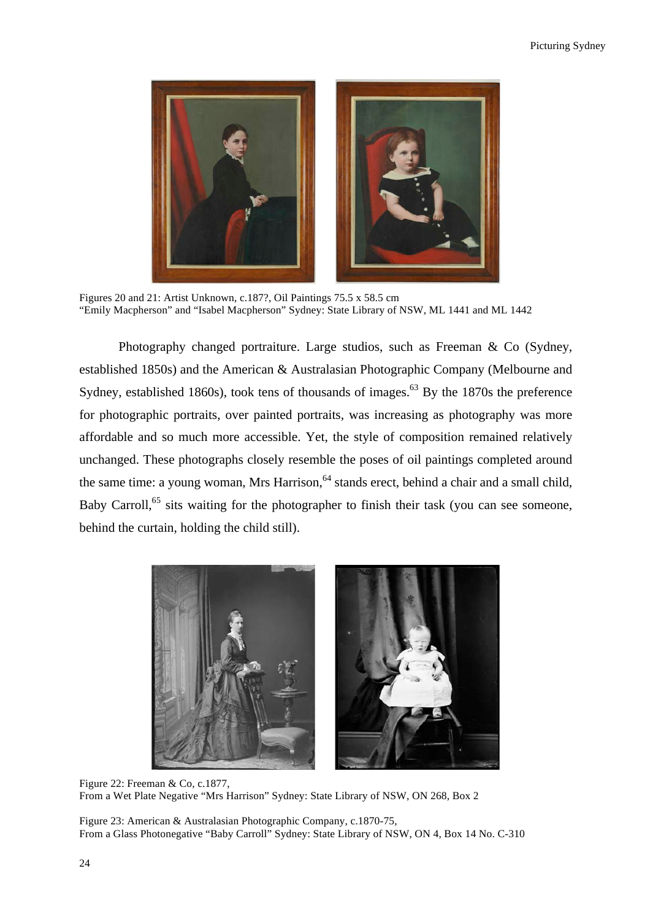

Figures 20 and 21: Artist Unknown, c.187?, Oil Paintings 75.5 x 58.5 cm "Emily Macpherson" and "Isabel Macpherson" Sydney: State Library of NSW, ML 1441 and ML 1442

Photography changed portraiture. Large studios, such as Freeman & Co (Sydney, established 1850s) and the American & Australasian Photographic Company (Melbourne and Sydney, established 1860s), took tens of thousands of images.<sup>63</sup> By the 1870s the preference for photographic portraits, over painted portraits, was increasing as photography was more affordable and so much more accessible. Yet, the style of composition remained relatively unchanged. These photographs closely resemble the poses of oil paintings completed around the same time: a young woman, Mrs Harrison, <sup>64</sup> stands erect, behind a chair and a small child, Baby Carroll,<sup>65</sup> sits waiting for the photographer to finish their task (you can see someone, behind the curtain, holding the child still).



Figure 22: Freeman & Co, c.1877, From a Wet Plate Negative "Mrs Harrison" Sydney: State Library of NSW, ON 268, Box 2

Figure 23: American & Australasian Photographic Company, c.1870-75, From a Glass Photonegative "Baby Carroll" Sydney: State Library of NSW, ON 4, Box 14 No. C-310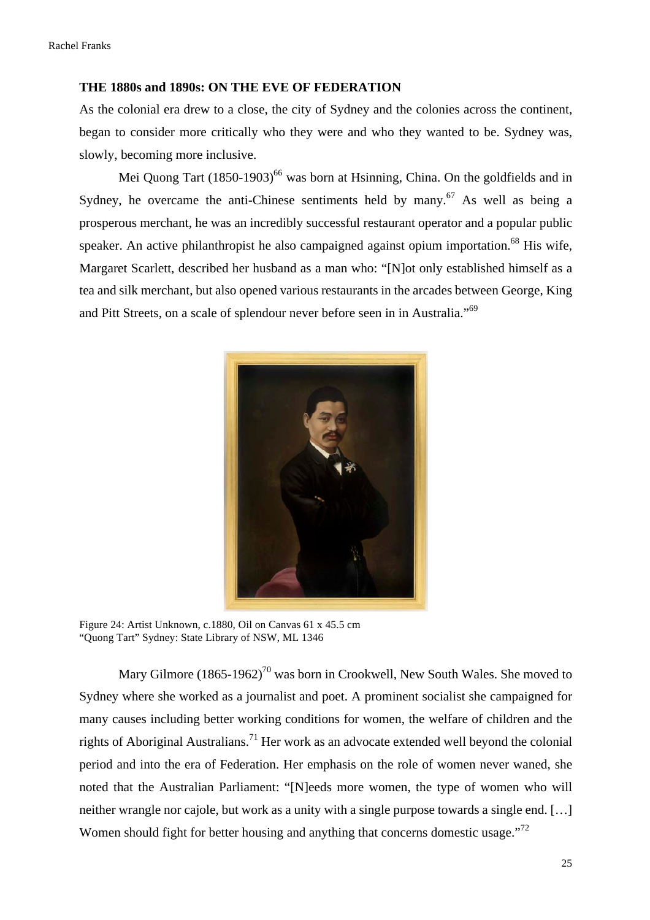#### **THE 1880s and 1890s: ON THE EVE OF FEDERATION**

As the colonial era drew to a close, the city of Sydney and the colonies across the continent, began to consider more critically who they were and who they wanted to be. Sydney was, slowly, becoming more inclusive.

Mei Quong Tart  $(1850-1903)^{66}$  was born at Hsinning, China. On the goldfields and in Sydney, he overcame the anti-Chinese sentiments held by many.<sup>67</sup> As well as being a prosperous merchant, he was an incredibly successful restaurant operator and a popular public speaker. An active philanthropist he also campaigned against opium importation.<sup>68</sup> His wife, Margaret Scarlett, described her husband as a man who: "[N]ot only established himself as a tea and silk merchant, but also opened various restaurants in the arcades between George, King and Pitt Streets, on a scale of splendour never before seen in in Australia."69



Figure 24: Artist Unknown, c.1880, Oil on Canvas 61 x 45.5 cm "Quong Tart" Sydney: State Library of NSW, ML 1346

Mary Gilmore  $(1865-1962)^{70}$  was born in Crookwell, New South Wales. She moved to Sydney where she worked as a journalist and poet. A prominent socialist she campaigned for many causes including better working conditions for women, the welfare of children and the rights of Aboriginal Australians.<sup>71</sup> Her work as an advocate extended well beyond the colonial period and into the era of Federation. Her emphasis on the role of women never waned, she noted that the Australian Parliament: "[N]eeds more women, the type of women who will neither wrangle nor cajole, but work as a unity with a single purpose towards a single end. […] Women should fight for better housing and anything that concerns domestic usage."<sup>72</sup>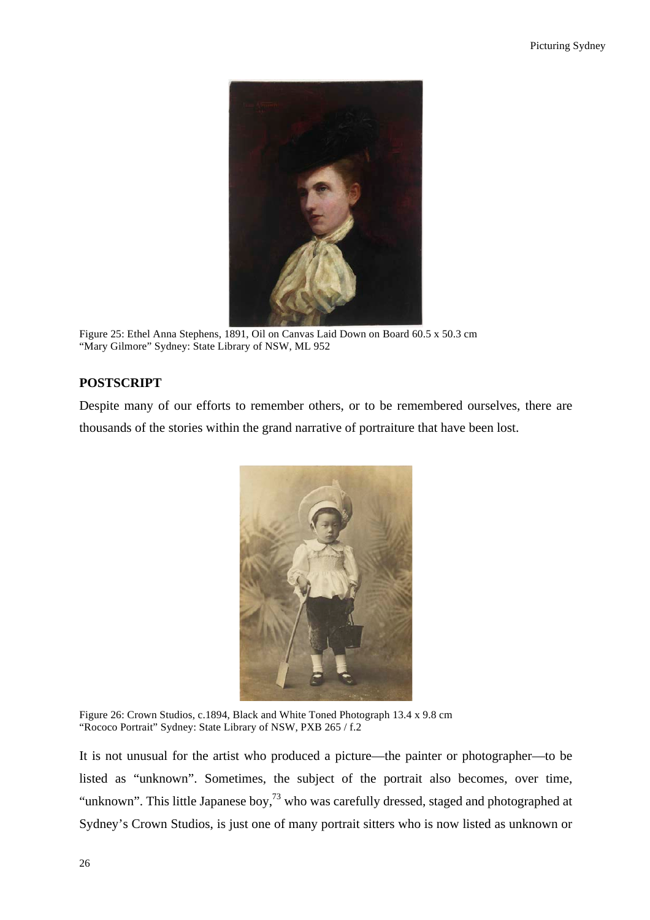

Figure 25: Ethel Anna Stephens, 1891, Oil on Canvas Laid Down on Board 60.5 x 50.3 cm "Mary Gilmore" Sydney: State Library of NSW, ML 952

# **POSTSCRIPT**

Despite many of our efforts to remember others, or to be remembered ourselves, there are thousands of the stories within the grand narrative of portraiture that have been lost.



Figure 26: Crown Studios, c.1894, Black and White Toned Photograph 13.4 x 9.8 cm "Rococo Portrait" Sydney: State Library of NSW, PXB 265 / f.2

It is not unusual for the artist who produced a picture—the painter or photographer—to be listed as "unknown". Sometimes, the subject of the portrait also becomes, over time, "unknown". This little Japanese boy,<sup>73</sup> who was carefully dressed, staged and photographed at Sydney's Crown Studios, is just one of many portrait sitters who is now listed as unknown or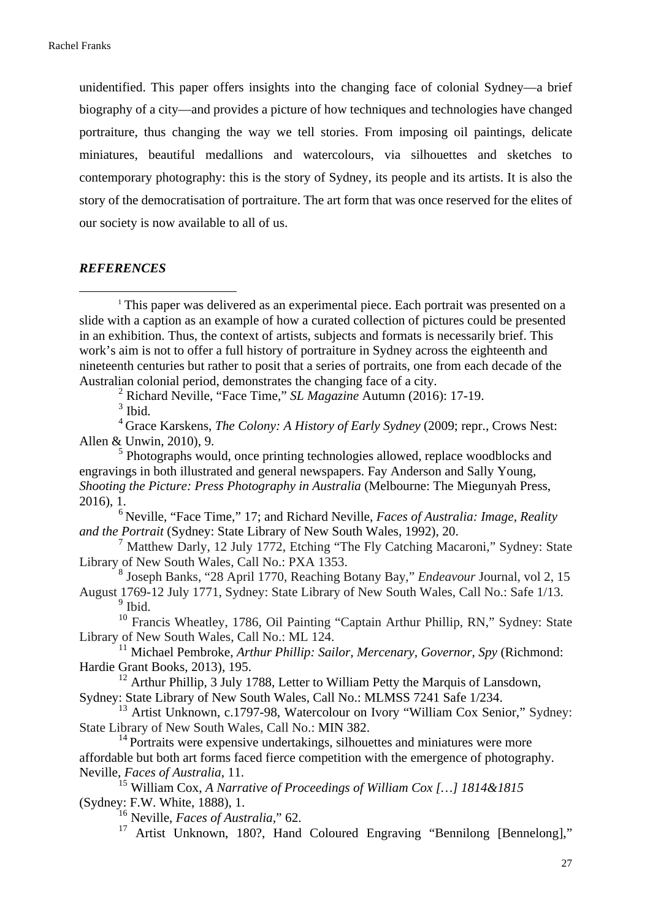unidentified. This paper offers insights into the changing face of colonial Sydney—a brief biography of a city—and provides a picture of how techniques and technologies have changed portraiture, thus changing the way we tell stories. From imposing oil paintings, delicate miniatures, beautiful medallions and watercolours, via silhouettes and sketches to contemporary photography: this is the story of Sydney, its people and its artists. It is also the story of the democratisation of portraiture. The art form that was once reserved for the elites of our society is now available to all of us.

### *REFERENCES*

<u> 1989 - Johann Barn, mars ann an t-Amhain Aonaich ann an t-Aonaich ann an t-Aonaich ann an t-Aonaich ann an t-</u>

<sup>1</sup> This paper was delivered as an experimental piece. Each portrait was presented on a slide with a caption as an example of how a curated collection of pictures could be presented in an exhibition. Thus, the context of artists, subjects and formats is necessarily brief. This work's aim is not to offer a full history of portraiture in Sydney across the eighteenth and nineteenth centuries but rather to posit that a series of portraits, one from each decade of the Australian colonial period, demonstrates the changing face of a city.

<sup>2</sup> Richard Neville, "Face Time," *SL Magazine* Autumn (2016): 17-19.<br><sup>3</sup> Ibid.

<sup>4</sup> Grace Karskens, *The Colony: A History of Early Sydney* (2009; repr., Crows Nest: Allen & Unwin, 2010), 9.<br><sup>5</sup> Photographs would, once printing technologies allowed, replace woodblocks and

engravings in both illustrated and general newspapers. Fay Anderson and Sally Young, *Shooting the Picture: Press Photography in Australia* (Melbourne: The Miegunyah Press, 2016), 1.

<sup>6</sup> Neville, "Face Time," 17; and Richard Neville, *Faces of Australia: Image, Reality and the Portrait* (Sydney: State Library of New South Wales, 1992), 20.

<sup>7</sup> Matthew Darly, 12 July 1772, Etching "The Fly Catching Macaroni," Sydney: State Library of New South Wales, Call No.: PXA 1353. <sup>8</sup> Joseph Banks, "28 April 1770, Reaching Botany Bay," *Endeavour* Journal, vol 2, 15

August 1769-12 July 1771, Sydney: State Library of New South Wales, Call No.: Safe 1/13.  $<sup>9</sup>$  Ibid.</sup>

<sup>10</sup> Francis Wheatley, 1786, Oil Painting "Captain Arthur Phillip, RN," Sydney: State Library of New South Wales, Call No.: ML 124.<br><sup>11</sup> Michael Pembroke, *Arthur Phillip: Sailor, Mercenary, Governor, Spy* (Richmond:

Hardie Grant Books, 2013), 195.<br><sup>12</sup> Arthur Phillip, 3 July 1788, Letter to William Petty the Marquis of Lansdown,

Sydney: State Library of New South Wales, Call No.: MLMSS 7241 Safe 1/234.

<sup>13</sup> Artist Unknown, c.1797-98, Watercolour on Ivory "William Cox Senior," Sydney: State Library of New South Wales, Call No.: MIN 382.<br><sup>14</sup> Portraits were expensive undertakings, silhouettes and miniatures were more

affordable but both art forms faced fierce competition with the emergence of photography. Neville, *Faces of Australia*, 11.

<sup>15</sup> William Cox, *A Narrative of Proceedings of William Cox […] 1814&1815* (Sydney: F.W. White, 1888), 1.<br><sup>16</sup> Neville, *Faces of Australia*," 62.

<sup>17</sup> Artist Unknown, 180?, Hand Coloured Engraving "Bennilong [Bennelong],"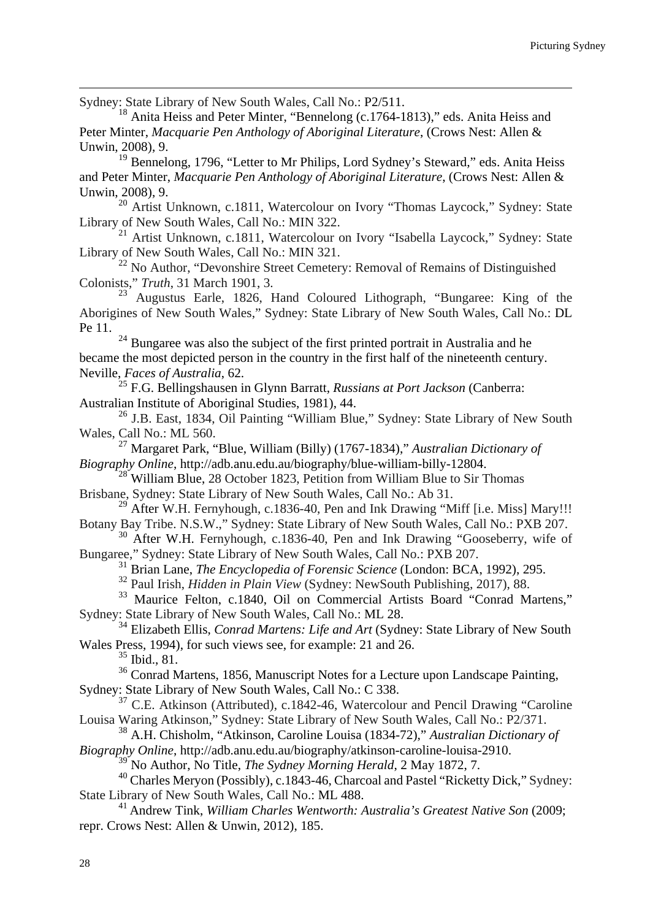Sydney: State Library of New South Wales, Call No.: P2/511.<br><sup>18</sup> Anita Heiss and Peter Minter, "Bennelong (c.1764-1813)," eds. Anita Heiss and Peter Minter, *Macquarie Pen Anthology of Aboriginal Literature*, (Crows Nest: Allen &

<u> 1989 - Andrea Santa Andrea Andrea Andrea Andrea Andrea Andrea Andrea Andrea Andrea Andrea Andrea Andrea Andr</u>

Unwin, 2008), 9.<br><sup>19</sup> Bennelong, 1796, "Letter to Mr Philips, Lord Sydney's Steward," eds. Anita Heiss and Peter Minter, *Macquarie Pen Anthology of Aboriginal Literature*, (Crows Nest: Allen & Unwin, 2008), 9.<br><sup>20</sup> Artist Unknown, c.1811, Watercolour on Ivory "Thomas Laycock," Sydney: State

Library of New South Wales, Call No.: MIN 322.<br><sup>21</sup> Artist Unknown, c.1811, Watercolour on Ivory "Isabella Laycock," Sydney: State<br>Library of New South Wales, Call No.: MIN 321.

<sup>22</sup> No Author, "Devonshire Street Cemetery: Removal of Remains of Distinguished Colonists," *Truth*, 31 March 1901, 3.

 $23$  Augustus Earle, 1826, Hand Coloured Lithograph, "Bungaree: King of the Aborigines of New South Wales," Sydney: State Library of New South Wales, Call No.: DL Pe 11.  $^{24}$  Bungaree was also the subject of the first printed portrait in Australia and he

became the most depicted person in the country in the first half of the nineteenth century. Neville, *Faces of Australia*, 62.

<sup>25</sup> F.G. Bellingshausen in Glynn Barratt, *Russians at Port Jackson* (Canberra: Australian Institute of Aboriginal Studies, 1981), 44.<br><sup>26</sup> J.B. East, 1834, Oil Painting "William Blue," Sydney: State Library of New South

Wales, Call No.: ML 560. <sup>27</sup> Margaret Park, "Blue, William (Billy) (1767-1834)," *Australian Dictionary of* 

*Biography Online*, http://adb.anu.edu.au/biography/blue-william-billy-12804.<br><sup>28</sup> William Blue, 28 October 1823, Petition from William Blue to Sir Thomas<br>Brisbane, Sydney: State Library of New South Wales, Call No.: Ab 31

<sup>29</sup> After W.H. Fernyhough, c.1836-40, Pen and Ink Drawing "Miff [i.e. Miss] Mary!!!<br>Botany Bay Tribe. N.S.W.," Sydney: State Library of New South Wales, Call No.: PXB 207.

<sup>30</sup> After W.H. Fernyhough, c.1836-40, Pen and Ink Drawing "Gooseberry, wife of

Bungaree," Sydney: State Library of New South Wales, Call No.: PXB 207.<br><sup>31</sup> Brian Lane, *The Encyclopedia of Forensic Science* (London: BCA, 1992), 295.<br><sup>32</sup> Paul Irish, *Hidden in Plain View* (Sydney: NewSouth Publishing Sydney: State Library of New South Wales, Call No.: ML 28. <sup>34</sup> Elizabeth Ellis, *Conrad Martens: Life and Art* (Sydney: State Library of New South

Wales Press, 1994), for such views see, for example: 21 and 26.

<sup>35</sup> Ibid., 81.

<sup>36</sup> Conrad Martens, 1856, Manuscript Notes for a Lecture upon Landscape Painting, Sydney: State Library of New South Wales, Call No.: C 338.

 $37$  C.E. Atkinson (Attributed), c.1842-46, Watercolour and Pencil Drawing "Caroline" Louisa Waring Atkinson," Sydney: State Library of New South Wales, Call No.: P2/371. <sup>38</sup> A.H. Chisholm, "Atkinson, Caroline Louisa (1834-72)," *Australian Dictionary of* 

Biography Online, http://adb.anu.edu.au/biography/atkinson-caroline-louisa-2910.<br><sup>39</sup> No Author, No Title, *The Sydney Morning Herald*, 2 May 1872, 7.<br><sup>40</sup> Charles Meryon (Possibly), c.1843-46, Charcoal and Pastel "Rickett State Library of New South Wales, Call No.: ML 488. <sup>41</sup> Andrew Tink, *William Charles Wentworth: Australia's Greatest Native Son* (2009;

repr. Crows Nest: Allen & Unwin, 2012), 185.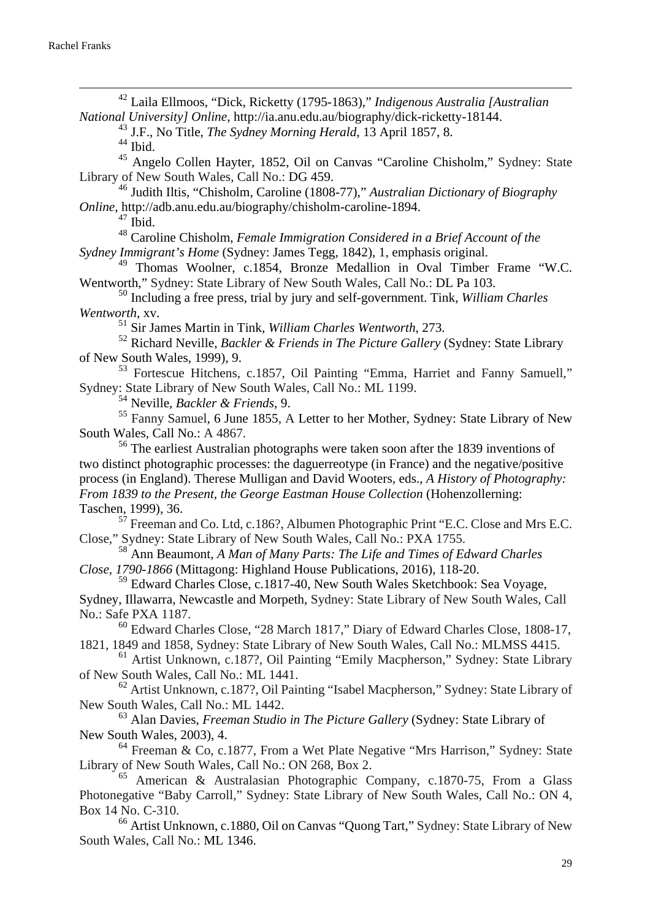<sup>42</sup> Laila Ellmoos, "Dick, Ricketty (1795-1863)," *Indigenous Australia [Australian National University] Online*, http://ia.anu.edu.au/biography/dick-ricketty-18144. <sup>43</sup> J.F., No Title, *The Sydney Morning Herald*, 13 April 1857, 8. <sup>44</sup> Ibid.

 $^{45}$  Angelo Collen Hayter, 1852, Oil on Canvas "Caroline Chisholm," Sydney: State Library of New South Wales, Call No.: DG 459.

<sup>46</sup> Judith Iltis, "Chisholm, Caroline (1808-77)," *Australian Dictionary of Biography Online*, http://adb.anu.edu.au/biography/chisholm-caroline-1894.

<sup>47</sup> Ibid.<br><sup>48</sup> Caroline Chisholm, *Female Immigration Considered in a Brief Account of the Sydney Immigrant's Home* (Sydney: James Tegg, 1842), 1, emphasis original.

<sup>49</sup> Thomas Woolner, c.1854, Bronze Medallion in Oval Timber Frame "W.C. Wentworth," Sydney: State Library of New South Wales, Call No.: DL Pa 103. <sup>50</sup> Including a free press, trial by jury and self-government. Tink, *William Charles* 

*Wentworth*, xv.

<sup>51</sup> Sir James Martin in Tink, *William Charles Wentworth*, 273.

<sup>52</sup> Richard Neville, *Backler & Friends in The Picture Gallery* (Sydney: State Library of New South Wales, 1999), 9.

<sup>53</sup> Fortescue Hitchens, c.1857, Oil Painting "Emma, Harriet and Fanny Samuell," Sydney: State Library of New South Wales, Call No.: ML 1199. <sup>54</sup> Neville, *Backler & Friends*, 9.

<sup>55</sup> Fanny Samuel, 6 June 1855, A Letter to her Mother, Sydney: State Library of New South Wales, Call No.: A 4867.

<sup>56</sup> The earliest Australian photographs were taken soon after the 1839 inventions of two distinct photographic processes: the daguerreotype (in France) and the negative/positive process (in England). Therese Mulligan and David Wooters, eds., *A History of Photography: From 1839 to the Present, the George Eastman House Collection* (Hohenzollerning: Taschen, 1999), 36.

<sup>57</sup> Freeman and Co. Ltd, c.186?, Albumen Photographic Print "E.C. Close and Mrs E.C. Close," Sydney: State Library of New South Wales, Call No.: PXA 1755.

<sup>58</sup> Ann Beaumont, *A Man of Many Parts: The Life and Times of Edward Charles Close, 1790-1866* (Mittagong: Highland House Publications, 2016), 118-20.

<sup>59</sup> Edward Charles Close, c.1817-40, New South Wales Sketchbook: Sea Voyage, Sydney, Illawarra, Newcastle and Morpeth, Sydney: State Library of New South Wales, Call

No.: Safe PXA 1187.<br><sup>60</sup> Edward Charles Close, "28 March 1817," Diary of Edward Charles Close, 1808-17, 1821, 1849 and 1858, Sydney: State Library of New South Wales, Call No.: MLMSS 4415.

 $^{61}$  Artist Unknown, c.187?, Oil Painting "Emily Macpherson," Sydney: State Library of New South Wales, Call No.: ML 1441.

 $62$  Artist Unknown, c.187?, Oil Painting "Isabel Macpherson," Sydney: State Library of New South Wales, Call No.: ML 1442. <sup>63</sup> Alan Davies, *Freeman Studio in The Picture Gallery* (Sydney: State Library of

New South Wales, 2003), 4.

 $64$  Freeman & Co, c.1877, From a Wet Plate Negative "Mrs Harrison," Sydney: State Library of New South Wales, Call No.: ON 268, Box 2.<br><sup>65</sup> American & Australasian Photographic Company, c.1870-75, From a Glass

Photonegative "Baby Carroll," Sydney: State Library of New South Wales, Call No.: ON 4, Box 14 No. C-310.<br><sup>66</sup> Artist Unknown, c.1880, Oil on Canvas "Quong Tart," Sydney: State Library of New

South Wales, Call No.: ML 1346.